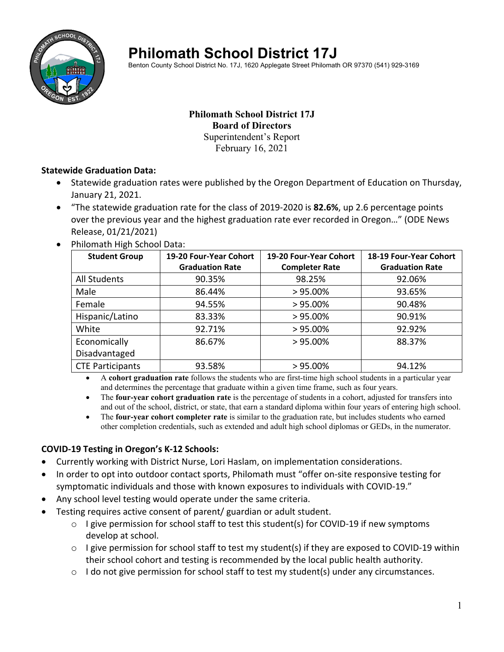

# **Philomath School District 17J**

Benton County School District No. 17J, 1620 Applegate Street Philomath OR 97370 (541) 929-3169

#### **Philomath School District 17J Board of Directors**  Superintendent's Report

February 16, 2021

#### **Statewide Graduation Data:**

- Statewide graduation rates were published by the Oregon Department of Education on Thursday, January 21, 2021.
- "The statewide graduation rate for the class of 2019‐2020 is **82.6%**, up 2.6 percentage points over the previous year and the highest graduation rate ever recorded in Oregon…" (ODE News Release, 01/21/2021)
- Philomath High School Data:

| <b>Student Group</b>    | 19-20 Four-Year Cohort | 19-20 Four-Year Cohort | 18-19 Four-Year Cohort |
|-------------------------|------------------------|------------------------|------------------------|
|                         | <b>Graduation Rate</b> | <b>Completer Rate</b>  | <b>Graduation Rate</b> |
| All Students            | 90.35%                 | 98.25%                 | 92.06%                 |
| Male                    | 86.44%                 | $> 95.00\%$            | 93.65%                 |
| Female                  | 94.55%                 | $>95.00\%$             | 90.48%                 |
| Hispanic/Latino         | 83.33%                 | $> 95.00\%$            | 90.91%                 |
| White                   | 92.71%                 | $> 95.00\%$            | 92.92%                 |
| Economically            | 86.67%                 | $>95.00\%$             | 88.37%                 |
| Disadvantaged           |                        |                        |                        |
| <b>CTE Participants</b> | 93.58%                 | $>95.00\%$             | 94.12%                 |

 A **cohort graduation rate** follows the students who are first-time high school students in a particular year and determines the percentage that graduate within a given time frame, such as four years.

 The **four-year cohort graduation rate** is the percentage of students in a cohort, adjusted for transfers into and out of the school, district, or state, that earn a standard diploma within four years of entering high school.

 The **four-year cohort completer rate** is similar to the graduation rate, but includes students who earned other completion credentials, such as extended and adult high school diplomas or GEDs, in the numerator.

## **COVID‐19 Testing in Oregon's K‐12 Schools:**

- Currently working with District Nurse, Lori Haslam, on implementation considerations.
- In order to opt into outdoor contact sports, Philomath must "offer on‐site responsive testing for symptomatic individuals and those with known exposures to individuals with COVID‐19."
- Any school level testing would operate under the same criteria.
- Testing requires active consent of parent/ guardian or adult student.
	- o I give permission for school staff to test this student(s) for COVID‐19 if new symptoms develop at school.
	- o I give permission for school staff to test my student(s) if they are exposed to COVID‐19 within their school cohort and testing is recommended by the local public health authority.
	- $\circ$  I do not give permission for school staff to test my student(s) under any circumstances.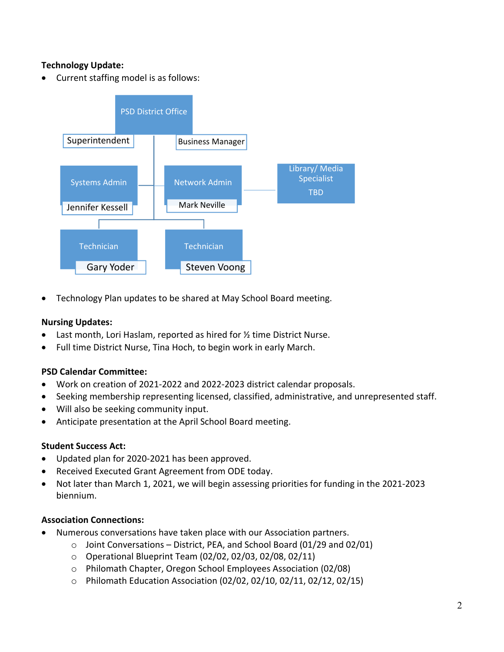# **Technology Update:**

• Current staffing model is as follows:



Technology Plan updates to be shared at May School Board meeting.

#### **Nursing Updates:**

- Last month, Lori Haslam, reported as hired for ½ time District Nurse.
- Full time District Nurse, Tina Hoch, to begin work in early March.

## **PSD Calendar Committee:**

- Work on creation of 2021‐2022 and 2022‐2023 district calendar proposals.
- Seeking membership representing licensed, classified, administrative, and unrepresented staff.
- Will also be seeking community input.
- Anticipate presentation at the April School Board meeting.

#### **Student Success Act:**

- Updated plan for 2020‐2021 has been approved.
- Received Executed Grant Agreement from ODE today.
- Not later than March 1, 2021, we will begin assessing priorities for funding in the 2021‐2023 biennium.

#### **Association Connections:**

- Numerous conversations have taken place with our Association partners.
	- $\circ$  Joint Conversations District, PEA, and School Board (01/29 and 02/01)
	- o Operational Blueprint Team (02/02, 02/03, 02/08, 02/11)
	- o Philomath Chapter, Oregon School Employees Association (02/08)
	- o Philomath Education Association (02/02, 02/10, 02/11, 02/12, 02/15)